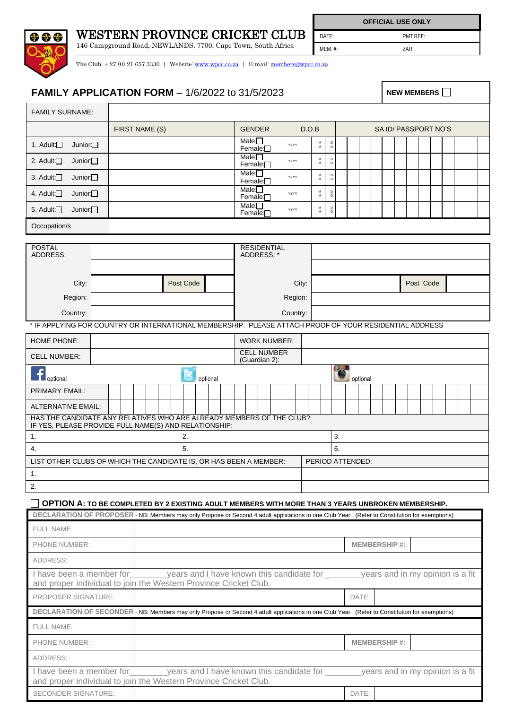

WESTERN PROVINCE CRICKET CLUB

146 Campground Road, NEWLANDS, 7700, Cape Town, South Africa

**OFFICIAL USE ONLY** DATE: PMT REF: MEM. #:  $\qquad \qquad$  ZAR:

The Club:  $+ 27$  (0) 21 657 3330 | Website: [www.wpcc.co.za](http://www.wpcc.co.za/) | E-mail: [members@wpcc.co.za](mailto:members@wpcc.co.za)

## **FAMILY APPLICATION FORM**  $-$  1/6/2022 to 31/5/2023  $\blacksquare$  NEW MEMBERS  $\blacksquare$

FAMILY SURNAME: FIRST NAME (S) GENDER D.O.B SA ID/ PASSPORT NO'S 1. Adult: Junior: Junior: Male: Male: Male: Male: Male: Male: Male: Male: Male: M YYYY M D D Female<sup>[1]</sup><br>Male<sup>1</sup> 2. Adult: Junior: Male: M Female: <del>Your</del><br>Male: Male: What D D 3. Adult: Junior M  $F$ emale:  $\begin{array}{|c|c|c|c|}\n\hline\n\text{Female:} & \text{wv} \\
\hline\n\text{Male:} & \text{wv} \\
\hline\n\end{array}$ D D 4. Adult: Junior  $F$ emale:  $\Box$  YYYY M D D 5. Adult: Junior: Male: Male: Male: Male: Male: Male: Male: Male: Male: Male: Male: Male: Male: Male: Male: Male: Male: Male: Male: Male: Male: Male: Male: Male: Male: Male: Male: Male: Male: Male: Male: Male: Male: Male: M  $F$ emale:  $\Box$   $\Box$  YYYY D D Occupation/s POSTAL RESIDENTIAL ADDRESS: ADDRESS: City: Post Code City: Post Code Region: Region: Country: Country: Country: Country: Country: Country: Country: Country: Country: Country: Country: Country: Country: Country: Country: Country: Country: Country: Country: Country: Country: Country: Country: Country: Countr \* IF APPLYING FOR COUNTRY OR INTERNATIONAL MEMBERSHIP. PLEASE ATTACH PROOF OF YOUR RESIDENTIAL ADDRESS HOME PHONE:  $\vert$  work number: CELL NUMBER:<br>CELL NUMBER:<br>Cuardian 3): (Guardian 2): Ť. optional optional optional optional optional optional optional optional optional optional optional optional optional optional optional optional optional optional optional optional optional optional optional optional option PRIMARY EMAIL: ALTERNATIVE EMAIL: HAS THE CANDIDATE ANY RELATIVES WHO ARE ALREADY MEMBERS OF THE CLUB? IF YES, PLEASE PROVIDE FULL NAME(S) AND RELATIONSHIP: 1.  $\vert$  2.  $\vert$  3. 4. 5. 6. LIST OTHER CLUBS OF WHICH THE CANDIDATE IS, OR HAS BEEN A MEMBER: PERIOD ATTENDED: 1. 2.

## **OPTION A: TO BE COMPLETED BY 2 EXISTING ADULT MEMBERS WITH MORE THAN 3 YEARS UNBROKEN MEMBERSHIP.**

| DECLARATION OF PROPOSER - NB: Members may only Propose or Second 4 adult applications in one Club Year. (Refer to Constitution for exemptions) |                                                                                                                                                                                             |                     |                     |                                  |  |  |  |  |  |  |
|------------------------------------------------------------------------------------------------------------------------------------------------|---------------------------------------------------------------------------------------------------------------------------------------------------------------------------------------------|---------------------|---------------------|----------------------------------|--|--|--|--|--|--|
| <b>FULL NAME:</b>                                                                                                                              |                                                                                                                                                                                             |                     |                     |                                  |  |  |  |  |  |  |
| <b>PHONE NUMBER:</b>                                                                                                                           |                                                                                                                                                                                             | <b>MEMBERSHIP#:</b> |                     |                                  |  |  |  |  |  |  |
| ADDRESS:                                                                                                                                       |                                                                                                                                                                                             |                     |                     |                                  |  |  |  |  |  |  |
|                                                                                                                                                | I have been a member for example are years and I have known this candidate for example years and in my opinion is a fit<br>and proper individual to join the Western Province Cricket Club. |                     |                     |                                  |  |  |  |  |  |  |
| <b>PROPOSER SIGNATURE:</b>                                                                                                                     |                                                                                                                                                                                             | DATE:               |                     |                                  |  |  |  |  |  |  |
|                                                                                                                                                |                                                                                                                                                                                             |                     |                     |                                  |  |  |  |  |  |  |
|                                                                                                                                                | DECLARATION OF SECONDER - NB: Members may only Propose or Second 4 adult applications in one Club Year. (Refer to Constitution for exemptions)                                              |                     |                     |                                  |  |  |  |  |  |  |
| <b>FULL NAME:</b>                                                                                                                              |                                                                                                                                                                                             |                     |                     |                                  |  |  |  |  |  |  |
| <b>PHONE NUMBER:</b>                                                                                                                           |                                                                                                                                                                                             |                     | <b>MEMBERSHIP#:</b> |                                  |  |  |  |  |  |  |
| ADDRESS:                                                                                                                                       |                                                                                                                                                                                             |                     |                     |                                  |  |  |  |  |  |  |
|                                                                                                                                                | I have been a member for years and I have known this candidate for<br>and proper individual to join the Western Province Cricket Club.                                                      |                     |                     | years and in my opinion is a fit |  |  |  |  |  |  |